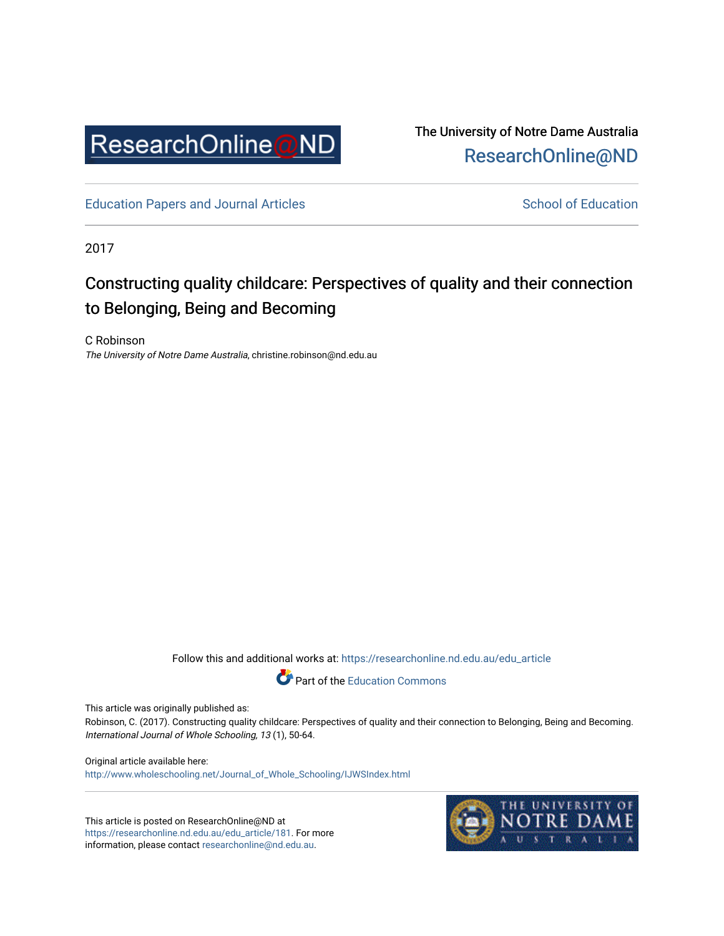

The University of Notre Dame Australia [ResearchOnline@ND](https://researchonline.nd.edu.au/) 

[Education Papers and Journal Articles](https://researchonline.nd.edu.au/edu_article) [School of Education](https://researchonline.nd.edu.au/edu) School of Education

2017

# Constructing quality childcare: Perspectives of quality and their connection to Belonging, Being and Becoming

C Robinson The University of Notre Dame Australia, christine.robinson@nd.edu.au

Follow this and additional works at: [https://researchonline.nd.edu.au/edu\\_article](https://researchonline.nd.edu.au/edu_article?utm_source=researchonline.nd.edu.au%2Fedu_article%2F181&utm_medium=PDF&utm_campaign=PDFCoverPages)



This article was originally published as:

Robinson, C. (2017). Constructing quality childcare: Perspectives of quality and their connection to Belonging, Being and Becoming. International Journal of Whole Schooling, 13 (1), 50-64.

Original article available here: [http://www.wholeschooling.net/Journal\\_of\\_Whole\\_Schooling/IJWSIndex.html](http://www.wholeschooling.net/Journal_of_Whole_Schooling/IJWSIndex.html)

This article is posted on ResearchOnline@ND at [https://researchonline.nd.edu.au/edu\\_article/181](https://researchonline.nd.edu.au/edu_article/181). For more information, please contact [researchonline@nd.edu.au.](mailto:researchonline@nd.edu.au)

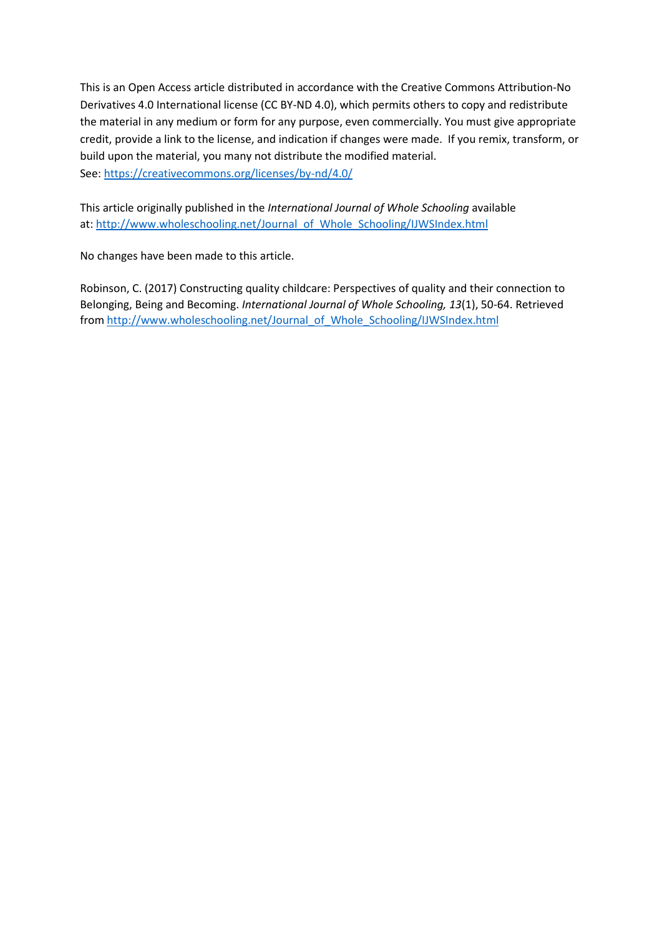This is an Open Access article distributed in accordance with the Creative Commons Attribution-No Derivatives 4.0 International license (CC BY-ND 4.0), which permits others to copy and redistribute the material in any medium or form for any purpose, even commercially. You must give appropriate credit, provide a link to the license, and indication if changes were made. If you remix, transform, or build upon the material, you many not distribute the modified material. See[: https://creativecommons.org/licenses/by-nd/4.0/](https://creativecommons.org/licenses/by-nd/4.0/)

This article originally published in the *International Journal of Whole Schooling* available at: [http://www.wholeschooling.net/Journal\\_of\\_Whole\\_Schooling/IJWSIndex.html](http://www.wholeschooling.net/Journal_of_Whole_Schooling/IJWSIndex.html)

No changes have been made to this article.

Robinson, C. (2017) Constructing quality childcare: Perspectives of quality and their connection to Belonging, Being and Becoming. *International Journal of Whole Schooling, 13*(1), 50-64. Retrieved from [http://www.wholeschooling.net/Journal\\_of\\_Whole\\_Schooling/IJWSIndex.html](http://www.wholeschooling.net/Journal_of_Whole_Schooling/IJWSIndex.html)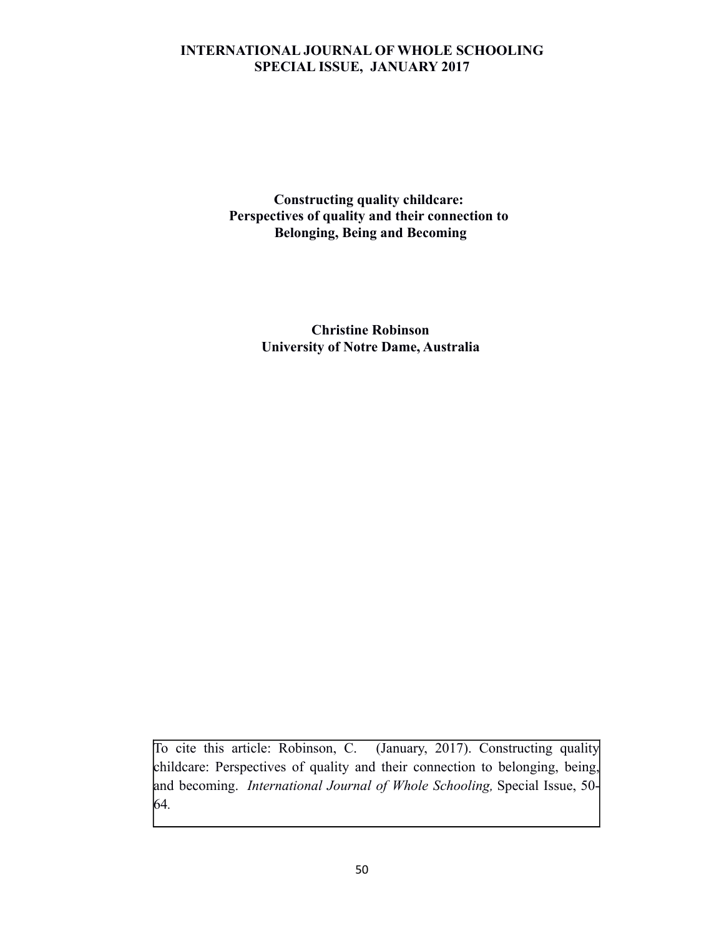**Constructing quality childcare: Perspectives of quality and their connection to Belonging, Being and Becoming**

> **Christine Robinson University of Notre Dame, Australia**

To cite this article: Robinson, C. (January, 2017). Constructing quality childcare: Perspectives of quality and their connection to belonging, being, and becoming. *International Journal of Whole Schooling,* Special Issue, 50- 64*.*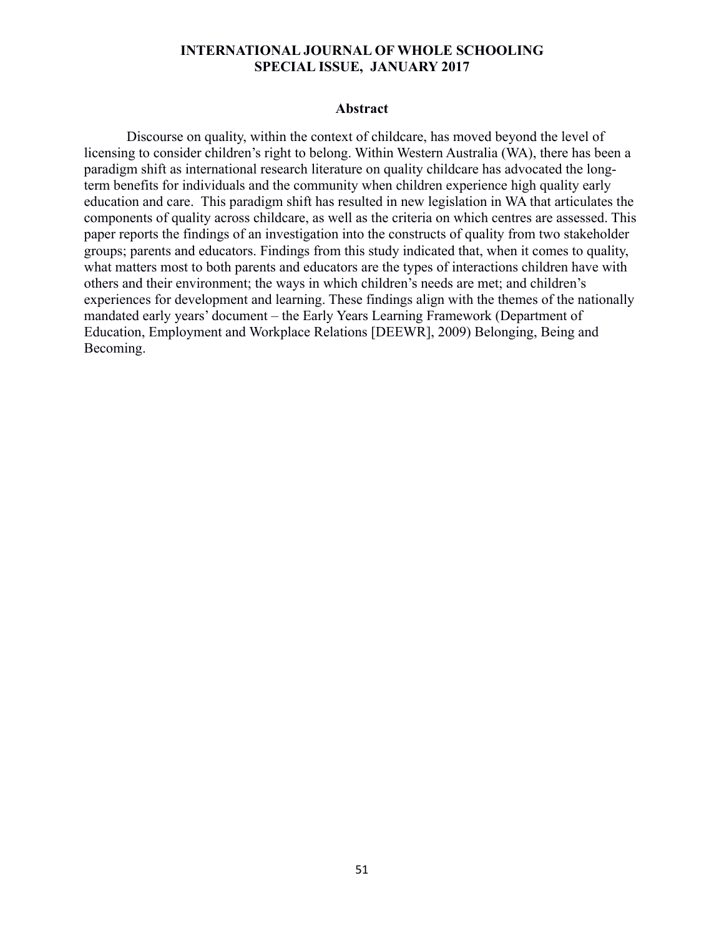#### **Abstract**

Discourse on quality, within the context of childcare, has moved beyond the level of licensing to consider children's right to belong. Within Western Australia (WA), there has been a paradigm shift as international research literature on quality childcare has advocated the longterm benefits for individuals and the community when children experience high quality early education and care. This paradigm shift has resulted in new legislation in WA that articulates the components of quality across childcare, as well as the criteria on which centres are assessed. This paper reports the findings of an investigation into the constructs of quality from two stakeholder groups; parents and educators. Findings from this study indicated that, when it comes to quality, what matters most to both parents and educators are the types of interactions children have with others and their environment; the ways in which children's needs are met; and children's experiences for development and learning. These findings align with the themes of the nationally mandated early years' document – the Early Years Learning Framework (Department of Education, Employment and Workplace Relations [DEEWR], 2009) Belonging, Being and Becoming.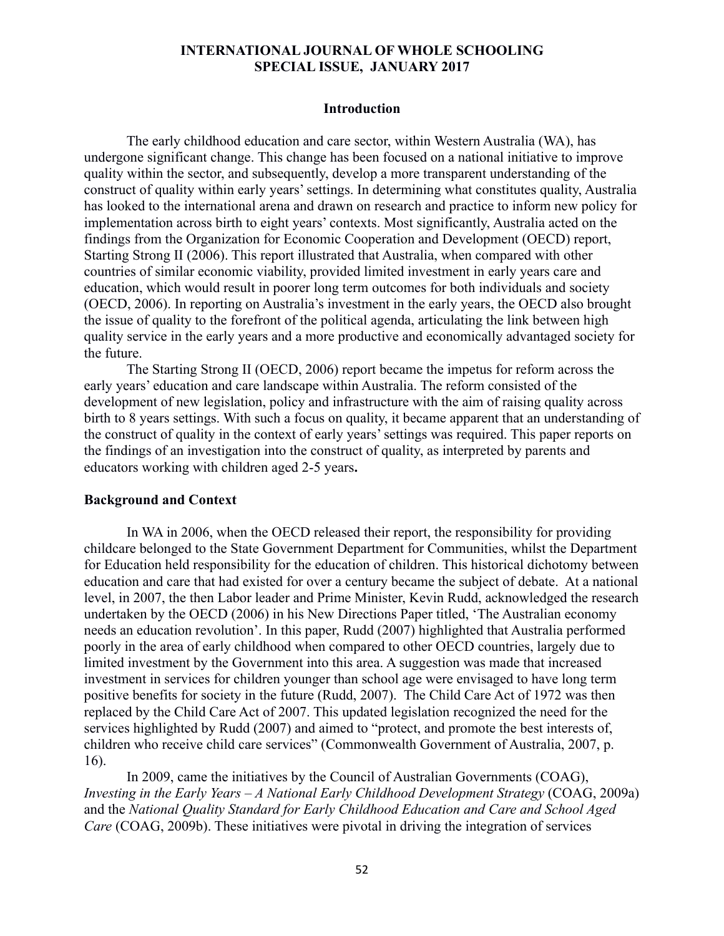#### **Introduction**

The early childhood education and care sector, within Western Australia (WA), has undergone significant change. This change has been focused on a national initiative to improve quality within the sector, and subsequently, develop a more transparent understanding of the construct of quality within early years' settings. In determining what constitutes quality, Australia has looked to the international arena and drawn on research and practice to inform new policy for implementation across birth to eight years' contexts. Most significantly, Australia acted on the findings from the Organization for Economic Cooperation and Development (OECD) report, Starting Strong II (2006). This report illustrated that Australia, when compared with other countries of similar economic viability, provided limited investment in early years care and education, which would result in poorer long term outcomes for both individuals and society (OECD, 2006). In reporting on Australia's investment in the early years, the OECD also brought the issue of quality to the forefront of the political agenda, articulating the link between high quality service in the early years and a more productive and economically advantaged society for the future.

The Starting Strong II (OECD, 2006) report became the impetus for reform across the early years' education and care landscape within Australia. The reform consisted of the development of new legislation, policy and infrastructure with the aim of raising quality across birth to 8 years settings. With such a focus on quality, it became apparent that an understanding of the construct of quality in the context of early years' settings was required. This paper reports on the findings of an investigation into the construct of quality, as interpreted by parents and educators working with children aged 2-5 years**.**

#### **Background and Context**

In WA in 2006, when the OECD released their report, the responsibility for providing childcare belonged to the State Government Department for Communities, whilst the Department for Education held responsibility for the education of children. This historical dichotomy between education and care that had existed for over a century became the subject of debate. At a national level, in 2007, the then Labor leader and Prime Minister, Kevin Rudd, acknowledged the research undertaken by the OECD (2006) in his New Directions Paper titled, 'The Australian economy needs an education revolution'. In this paper, Rudd (2007) highlighted that Australia performed poorly in the area of early childhood when compared to other OECD countries, largely due to limited investment by the Government into this area. A suggestion was made that increased investment in services for children younger than school age were envisaged to have long term positive benefits for society in the future (Rudd, 2007). The Child Care Act of 1972 was then replaced by the Child Care Act of 2007. This updated legislation recognized the need for the services highlighted by Rudd (2007) and aimed to "protect, and promote the best interests of, children who receive child care services" (Commonwealth Government of Australia, 2007, p. 16).

In 2009, came the initiatives by the Council of Australian Governments (COAG), *Investing in the Early Years – A National Early Childhood Development Strategy* (COAG, 2009a) and the *National Quality Standard for Early Childhood Education and Care and School Aged Care* (COAG, 2009b). These initiatives were pivotal in driving the integration of services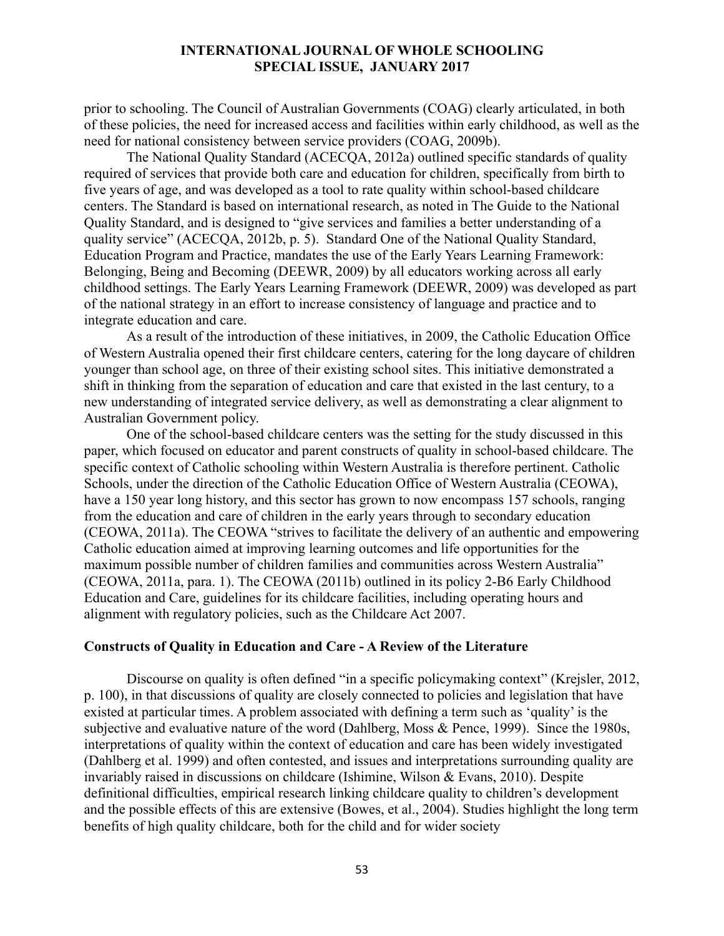prior to schooling. The Council of Australian Governments (COAG) clearly articulated, in both of these policies, the need for increased access and facilities within early childhood, as well as the need for national consistency between service providers (COAG, 2009b).

The National Quality Standard (ACECQA, 2012a) outlined specific standards of quality required of services that provide both care and education for children, specifically from birth to five years of age, and was developed as a tool to rate quality within school-based childcare centers. The Standard is based on international research, as noted in The Guide to the National Quality Standard, and is designed to "give services and families a better understanding of a quality service" (ACECQA, 2012b, p. 5). Standard One of the National Quality Standard, Education Program and Practice, mandates the use of the Early Years Learning Framework: Belonging, Being and Becoming (DEEWR, 2009) by all educators working across all early childhood settings. The Early Years Learning Framework (DEEWR, 2009) was developed as part of the national strategy in an effort to increase consistency of language and practice and to integrate education and care.

As a result of the introduction of these initiatives, in 2009, the Catholic Education Office of Western Australia opened their first childcare centers, catering for the long daycare of children younger than school age, on three of their existing school sites. This initiative demonstrated a shift in thinking from the separation of education and care that existed in the last century, to a new understanding of integrated service delivery, as well as demonstrating a clear alignment to Australian Government policy.

One of the school-based childcare centers was the setting for the study discussed in this paper, which focused on educator and parent constructs of quality in school-based childcare. The specific context of Catholic schooling within Western Australia is therefore pertinent. Catholic Schools, under the direction of the Catholic Education Office of Western Australia (CEOWA), have a 150 year long history, and this sector has grown to now encompass 157 schools, ranging from the education and care of children in the early years through to secondary education (CEOWA, 2011a). The CEOWA "strives to facilitate the delivery of an authentic and empowering Catholic education aimed at improving learning outcomes and life opportunities for the maximum possible number of children families and communities across Western Australia" (CEOWA, 2011a, para. 1). The CEOWA (2011b) outlined in its policy 2-B6 Early Childhood Education and Care, guidelines for its childcare facilities, including operating hours and alignment with regulatory policies, such as the Childcare Act 2007.

#### **Constructs of Quality in Education and Care - A Review of the Literature**

Discourse on quality is often defined "in a specific policymaking context" (Krejsler, 2012, p. 100), in that discussions of quality are closely connected to policies and legislation that have existed at particular times. A problem associated with defining a term such as 'quality' is the subjective and evaluative nature of the word (Dahlberg, Moss & Pence, 1999). Since the 1980s, interpretations of quality within the context of education and care has been widely investigated (Dahlberg et al. 1999) and often contested, and issues and interpretations surrounding quality are invariably raised in discussions on childcare (Ishimine, Wilson & Evans, 2010). Despite definitional difficulties, empirical research linking childcare quality to children's development and the possible effects of this are extensive (Bowes, et al., 2004). Studies highlight the long term benefits of high quality childcare, both for the child and for wider society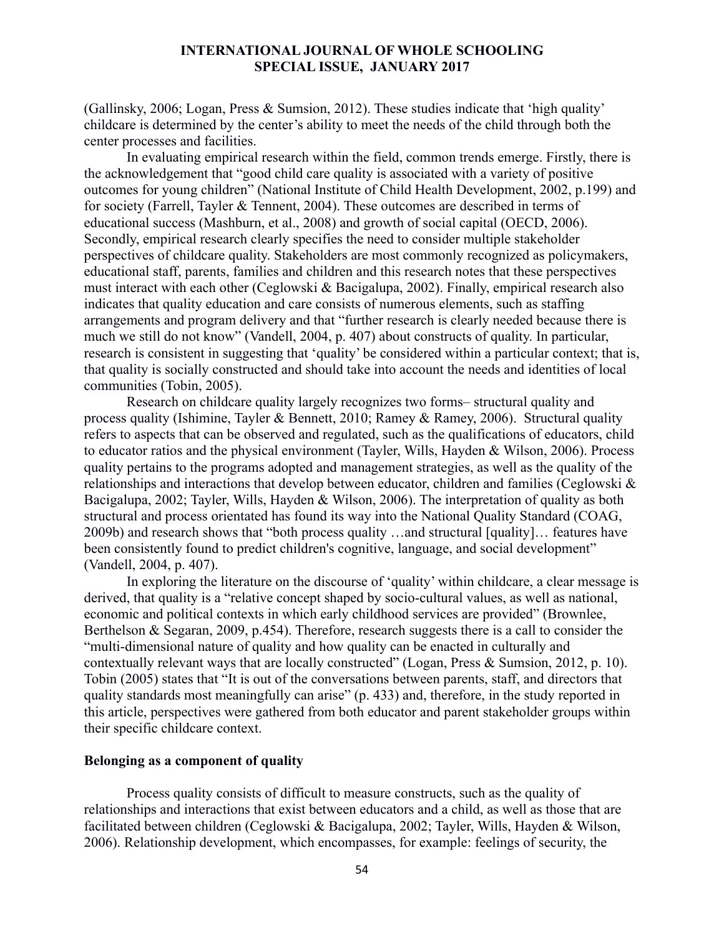(Gallinsky, 2006; Logan, Press & Sumsion, 2012). These studies indicate that 'high quality' childcare is determined by the center's ability to meet the needs of the child through both the center processes and facilities.

In evaluating empirical research within the field, common trends emerge. Firstly, there is the acknowledgement that "good child care quality is associated with a variety of positive outcomes for young children" (National Institute of Child Health Development, 2002, p.199) and for society (Farrell, Tayler & Tennent, 2004). These outcomes are described in terms of educational success (Mashburn, et al., 2008) and growth of social capital (OECD, 2006). Secondly, empirical research clearly specifies the need to consider multiple stakeholder perspectives of childcare quality. Stakeholders are most commonly recognized as policymakers, educational staff, parents, families and children and this research notes that these perspectives must interact with each other (Ceglowski & Bacigalupa, 2002). Finally, empirical research also indicates that quality education and care consists of numerous elements, such as staffing arrangements and program delivery and that "further research is clearly needed because there is much we still do not know" (Vandell, 2004, p. 407) about constructs of quality. In particular, research is consistent in suggesting that 'quality' be considered within a particular context; that is, that quality is socially constructed and should take into account the needs and identities of local communities (Tobin, 2005).

Research on childcare quality largely recognizes two forms– structural quality and process quality (Ishimine, Tayler & Bennett, 2010; Ramey & Ramey, 2006). Structural quality refers to aspects that can be observed and regulated, such as the qualifications of educators, child to educator ratios and the physical environment (Tayler, Wills, Hayden & Wilson, 2006). Process quality pertains to the programs adopted and management strategies, as well as the quality of the relationships and interactions that develop between educator, children and families (Ceglowski & Bacigalupa, 2002; Tayler, Wills, Hayden & Wilson, 2006). The interpretation of quality as both structural and process orientated has found its way into the National Quality Standard (COAG, 2009b) and research shows that "both process quality …and structural [quality]… features have been consistently found to predict children's cognitive, language, and social development" (Vandell, 2004, p. 407).

In exploring the literature on the discourse of 'quality' within childcare, a clear message is derived, that quality is a "relative concept shaped by socio-cultural values, as well as national, economic and political contexts in which early childhood services are provided" (Brownlee, Berthelson & Segaran, 2009, p.454). Therefore, research suggests there is a call to consider the "multi-dimensional nature of quality and how quality can be enacted in culturally and contextually relevant ways that are locally constructed" (Logan, Press & Sumsion, 2012, p. 10). Tobin (2005) states that "It is out of the conversations between parents, staff, and directors that quality standards most meaningfully can arise" (p. 433) and, therefore, in the study reported in this article, perspectives were gathered from both educator and parent stakeholder groups within their specific childcare context.

# **Belonging as a component of quality**

Process quality consists of difficult to measure constructs, such as the quality of relationships and interactions that exist between educators and a child, as well as those that are facilitated between children (Ceglowski & Bacigalupa, 2002; Tayler, Wills, Hayden & Wilson, 2006). Relationship development, which encompasses, for example: feelings of security, the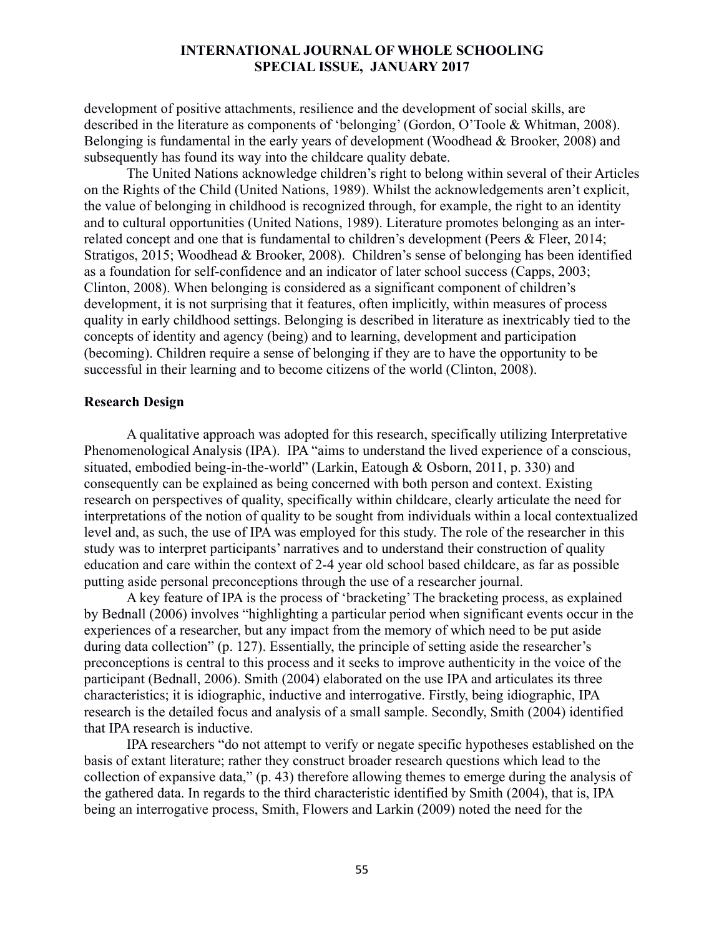development of positive attachments, resilience and the development of social skills, are described in the literature as components of 'belonging' (Gordon, O'Toole & Whitman, 2008). Belonging is fundamental in the early years of development (Woodhead & Brooker, 2008) and subsequently has found its way into the childcare quality debate.

The United Nations acknowledge children's right to belong within several of their Articles on the Rights of the Child (United Nations, 1989). Whilst the acknowledgements aren't explicit, the value of belonging in childhood is recognized through, for example, the right to an identity and to cultural opportunities (United Nations, 1989). Literature promotes belonging as an interrelated concept and one that is fundamental to children's development (Peers & Fleer, 2014; Stratigos, 2015; Woodhead & Brooker, 2008). Children's sense of belonging has been identified as a foundation for self-confidence and an indicator of later school success (Capps, 2003; Clinton, 2008). When belonging is considered as a significant component of children's development, it is not surprising that it features, often implicitly, within measures of process quality in early childhood settings. Belonging is described in literature as inextricably tied to the concepts of identity and agency (being) and to learning, development and participation (becoming). Children require a sense of belonging if they are to have the opportunity to be successful in their learning and to become citizens of the world (Clinton, 2008).

#### **Research Design**

A qualitative approach was adopted for this research, specifically utilizing Interpretative Phenomenological Analysis (IPA). IPA "aims to understand the lived experience of a conscious, situated, embodied being-in-the-world" (Larkin, Eatough & Osborn, 2011, p. 330) and consequently can be explained as being concerned with both person and context. Existing research on perspectives of quality, specifically within childcare, clearly articulate the need for interpretations of the notion of quality to be sought from individuals within a local contextualized level and, as such, the use of IPA was employed for this study. The role of the researcher in this study was to interpret participants' narratives and to understand their construction of quality education and care within the context of 2-4 year old school based childcare, as far as possible putting aside personal preconceptions through the use of a researcher journal.

A key feature of IPA is the process of 'bracketing' The bracketing process, as explained by Bednall (2006) involves "highlighting a particular period when significant events occur in the experiences of a researcher, but any impact from the memory of which need to be put aside during data collection" (p. 127). Essentially, the principle of setting aside the researcher's preconceptions is central to this process and it seeks to improve authenticity in the voice of the participant (Bednall, 2006). Smith (2004) elaborated on the use IPA and articulates its three characteristics; it is idiographic, inductive and interrogative. Firstly, being idiographic, IPA research is the detailed focus and analysis of a small sample. Secondly, Smith (2004) identified that IPA research is inductive.

IPA researchers "do not attempt to verify or negate specific hypotheses established on the basis of extant literature; rather they construct broader research questions which lead to the collection of expansive data," (p. 43) therefore allowing themes to emerge during the analysis of the gathered data. In regards to the third characteristic identified by Smith (2004), that is, IPA being an interrogative process, Smith, Flowers and Larkin (2009) noted the need for the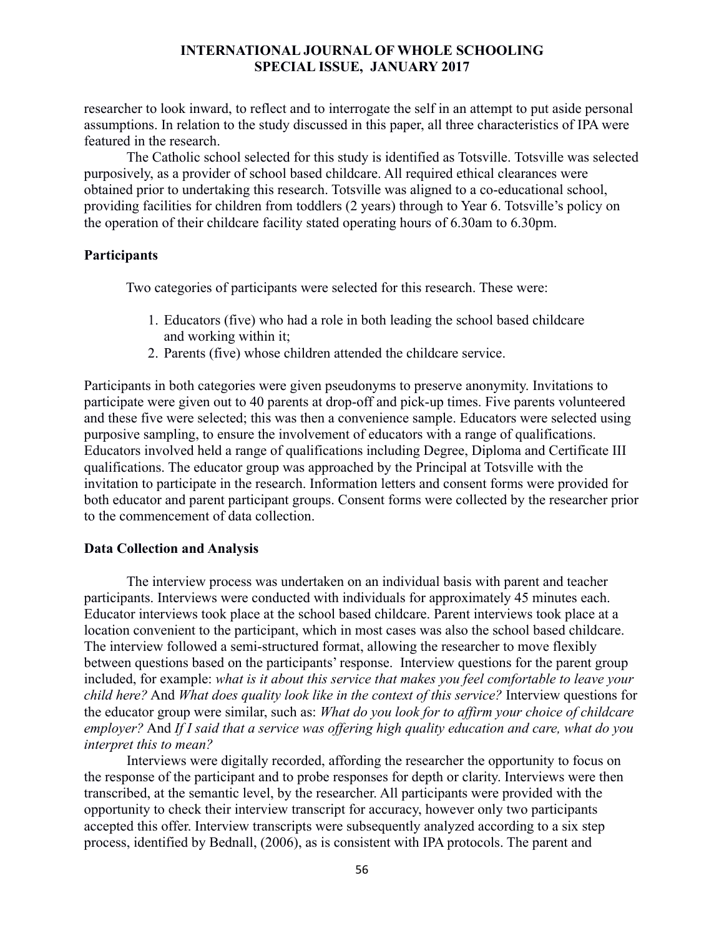researcher to look inward, to reflect and to interrogate the self in an attempt to put aside personal assumptions. In relation to the study discussed in this paper, all three characteristics of IPA were featured in the research.

The Catholic school selected for this study is identified as Totsville. Totsville was selected purposively, as a provider of school based childcare. All required ethical clearances were obtained prior to undertaking this research. Totsville was aligned to a co-educational school, providing facilities for children from toddlers (2 years) through to Year 6. Totsville's policy on the operation of their childcare facility stated operating hours of 6.30am to 6.30pm.

#### **Participants**

Two categories of participants were selected for this research. These were:

- 1. Educators (five) who had a role in both leading the school based childcare and working within it;
- 2. Parents (five) whose children attended the childcare service.

Participants in both categories were given pseudonyms to preserve anonymity. Invitations to participate were given out to 40 parents at drop-off and pick-up times. Five parents volunteered and these five were selected; this was then a convenience sample. Educators were selected using purposive sampling, to ensure the involvement of educators with a range of qualifications. Educators involved held a range of qualifications including Degree, Diploma and Certificate III qualifications. The educator group was approached by the Principal at Totsville with the invitation to participate in the research. Information letters and consent forms were provided for both educator and parent participant groups. Consent forms were collected by the researcher prior to the commencement of data collection.

## **Data Collection and Analysis**

The interview process was undertaken on an individual basis with parent and teacher participants. Interviews were conducted with individuals for approximately 45 minutes each. Educator interviews took place at the school based childcare. Parent interviews took place at a location convenient to the participant, which in most cases was also the school based childcare. The interview followed a semi-structured format, allowing the researcher to move flexibly between questions based on the participants' response. Interview questions for the parent group included, for example: *what is it about this service that makes you feel comfortable to leave your child here?* And *What does quality look like in the context of this service?* Interview questions for the educator group were similar, such as: *What do you look for to affirm your choice of childcare employer?* And *If I said that a service was offering high quality education and care, what do you interpret this to mean?*

Interviews were digitally recorded, affording the researcher the opportunity to focus on the response of the participant and to probe responses for depth or clarity. Interviews were then transcribed, at the semantic level, by the researcher. All participants were provided with the opportunity to check their interview transcript for accuracy, however only two participants accepted this offer. Interview transcripts were subsequently analyzed according to a six step process, identified by Bednall, (2006), as is consistent with IPA protocols. The parent and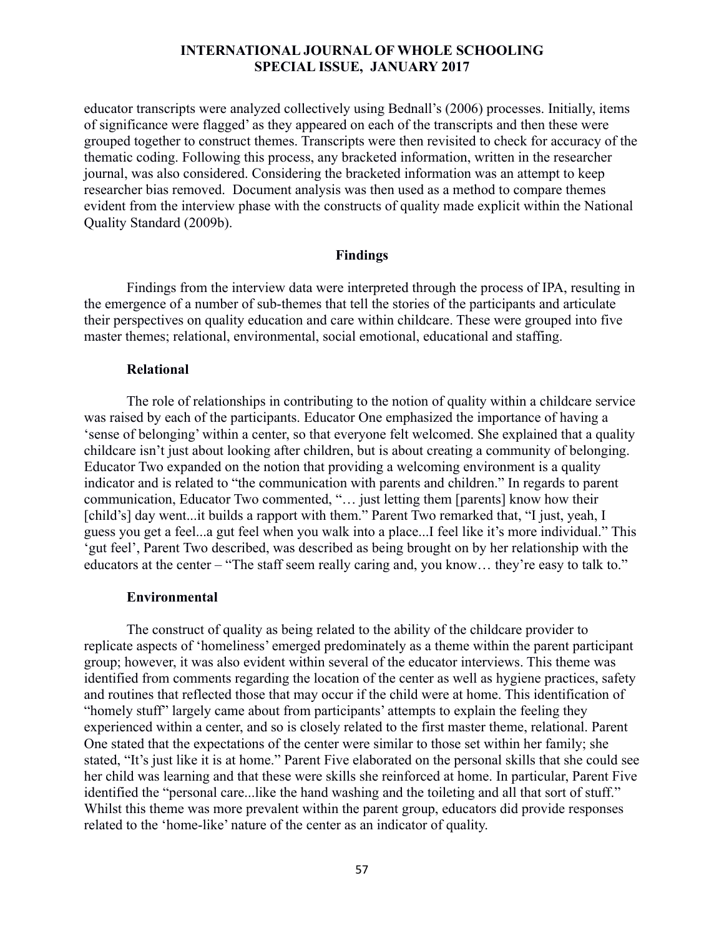educator transcripts were analyzed collectively using Bednall's (2006) processes. Initially, items of significance were flagged' as they appeared on each of the transcripts and then these were grouped together to construct themes. Transcripts were then revisited to check for accuracy of the thematic coding. Following this process, any bracketed information, written in the researcher journal, was also considered. Considering the bracketed information was an attempt to keep researcher bias removed. Document analysis was then used as a method to compare themes evident from the interview phase with the constructs of quality made explicit within the National Quality Standard (2009b).

#### **Findings**

Findings from the interview data were interpreted through the process of IPA, resulting in the emergence of a number of sub-themes that tell the stories of the participants and articulate their perspectives on quality education and care within childcare. These were grouped into five master themes; relational, environmental, social emotional, educational and staffing.

#### **Relational**

The role of relationships in contributing to the notion of quality within a childcare service was raised by each of the participants. Educator One emphasized the importance of having a 'sense of belonging' within a center, so that everyone felt welcomed. She explained that a quality childcare isn't just about looking after children, but is about creating a community of belonging. Educator Two expanded on the notion that providing a welcoming environment is a quality indicator and is related to "the communication with parents and children." In regards to parent communication, Educator Two commented, "… just letting them [parents] know how their [child's] day went...it builds a rapport with them." Parent Two remarked that, "I just, yeah, I guess you get a feel...a gut feel when you walk into a place...I feel like it's more individual." This 'gut feel', Parent Two described, was described as being brought on by her relationship with the educators at the center – "The staff seem really caring and, you know... they're easy to talk to."

#### **Environmental**

The construct of quality as being related to the ability of the childcare provider to replicate aspects of 'homeliness' emerged predominately as a theme within the parent participant group; however, it was also evident within several of the educator interviews. This theme was identified from comments regarding the location of the center as well as hygiene practices, safety and routines that reflected those that may occur if the child were at home. This identification of "homely stuff" largely came about from participants' attempts to explain the feeling they experienced within a center, and so is closely related to the first master theme, relational. Parent One stated that the expectations of the center were similar to those set within her family; she stated, "It's just like it is at home." Parent Five elaborated on the personal skills that she could see her child was learning and that these were skills she reinforced at home. In particular, Parent Five identified the "personal care...like the hand washing and the toileting and all that sort of stuff." Whilst this theme was more prevalent within the parent group, educators did provide responses related to the 'home-like' nature of the center as an indicator of quality.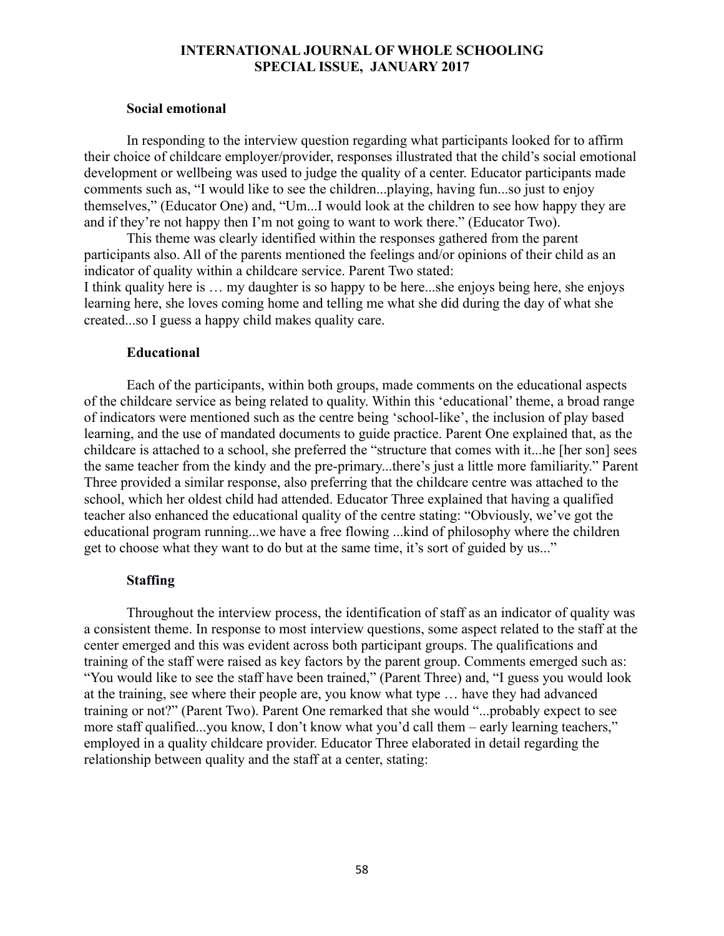#### **Social emotional**

In responding to the interview question regarding what participants looked for to affirm their choice of childcare employer/provider, responses illustrated that the child's social emotional development or wellbeing was used to judge the quality of a center. Educator participants made comments such as, "I would like to see the children...playing, having fun...so just to enjoy themselves," (Educator One) and, "Um...I would look at the children to see how happy they are and if they're not happy then I'm not going to want to work there." (Educator Two).

This theme was clearly identified within the responses gathered from the parent participants also. All of the parents mentioned the feelings and/or opinions of their child as an indicator of quality within a childcare service. Parent Two stated:

I think quality here is … my daughter is so happy to be here...she enjoys being here, she enjoys learning here, she loves coming home and telling me what she did during the day of what she created...so I guess a happy child makes quality care.

#### **Educational**

Each of the participants, within both groups, made comments on the educational aspects of the childcare service as being related to quality. Within this 'educational' theme, a broad range of indicators were mentioned such as the centre being 'school-like', the inclusion of play based learning, and the use of mandated documents to guide practice. Parent One explained that, as the childcare is attached to a school, she preferred the "structure that comes with it...he [her son] sees the same teacher from the kindy and the pre-primary...there's just a little more familiarity." Parent Three provided a similar response, also preferring that the childcare centre was attached to the school, which her oldest child had attended. Educator Three explained that having a qualified teacher also enhanced the educational quality of the centre stating: "Obviously, we've got the educational program running...we have a free flowing ...kind of philosophy where the children get to choose what they want to do but at the same time, it's sort of guided by us..."

# **Staffing**

Throughout the interview process, the identification of staff as an indicator of quality was a consistent theme. In response to most interview questions, some aspect related to the staff at the center emerged and this was evident across both participant groups. The qualifications and training of the staff were raised as key factors by the parent group. Comments emerged such as: "You would like to see the staff have been trained," (Parent Three) and, "I guess you would look at the training, see where their people are, you know what type … have they had advanced training or not?" (Parent Two). Parent One remarked that she would "...probably expect to see more staff qualified...you know, I don't know what you'd call them – early learning teachers," employed in a quality childcare provider. Educator Three elaborated in detail regarding the relationship between quality and the staff at a center, stating: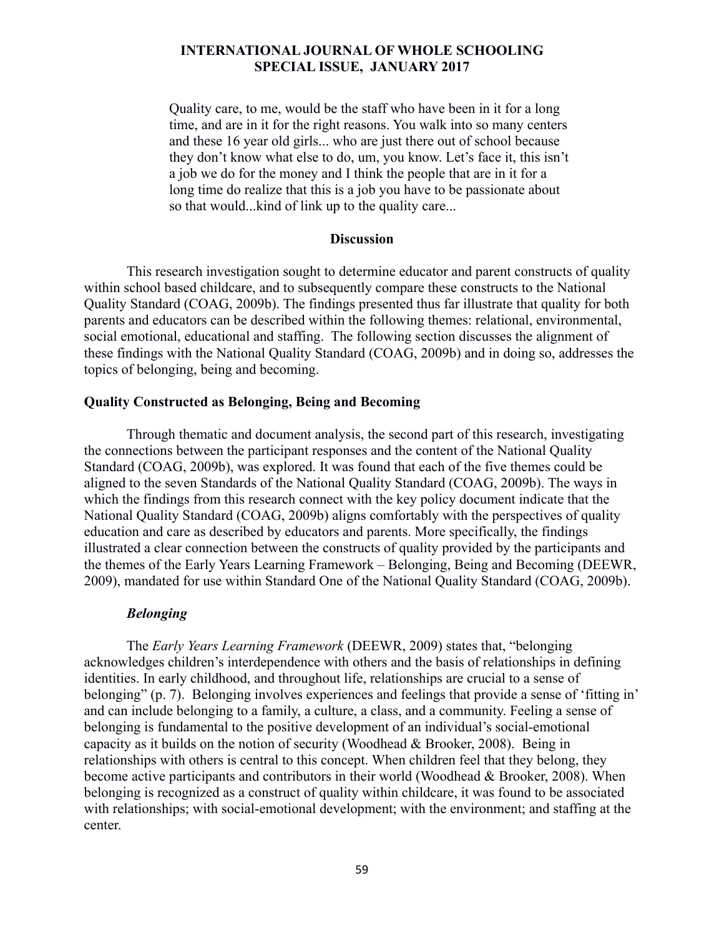Quality care, to me, would be the staff who have been in it for a long time, and are in it for the right reasons. You walk into so many centers and these 16 year old girls... who are just there out of school because they don't know what else to do, um, you know. Let's face it, this isn't a job we do for the money and I think the people that are in it for a long time do realize that this is a job you have to be passionate about so that would...kind of link up to the quality care...

#### **Discussion**

This research investigation sought to determine educator and parent constructs of quality within school based childcare, and to subsequently compare these constructs to the National Quality Standard (COAG, 2009b). The findings presented thus far illustrate that quality for both parents and educators can be described within the following themes: relational, environmental, social emotional, educational and staffing. The following section discusses the alignment of these findings with the National Quality Standard (COAG, 2009b) and in doing so, addresses the topics of belonging, being and becoming.

#### **Quality Constructed as Belonging, Being and Becoming**

Through thematic and document analysis, the second part of this research, investigating the connections between the participant responses and the content of the National Quality Standard (COAG, 2009b), was explored. It was found that each of the five themes could be aligned to the seven Standards of the National Quality Standard (COAG, 2009b). The ways in which the findings from this research connect with the key policy document indicate that the National Quality Standard (COAG, 2009b) aligns comfortably with the perspectives of quality education and care as described by educators and parents. More specifically, the findings illustrated a clear connection between the constructs of quality provided by the participants and the themes of the Early Years Learning Framework – Belonging, Being and Becoming (DEEWR, 2009), mandated for use within Standard One of the National Quality Standard (COAG, 2009b).

#### *Belonging*

The *Early Years Learning Framework* (DEEWR, 2009) states that, "belonging acknowledges children's interdependence with others and the basis of relationships in defining identities. In early childhood, and throughout life, relationships are crucial to a sense of belonging" (p. 7). Belonging involves experiences and feelings that provide a sense of 'fitting in' and can include belonging to a family, a culture, a class, and a community. Feeling a sense of belonging is fundamental to the positive development of an individual's social-emotional capacity as it builds on the notion of security (Woodhead & Brooker, 2008). Being in relationships with others is central to this concept. When children feel that they belong, they become active participants and contributors in their world (Woodhead & Brooker, 2008). When belonging is recognized as a construct of quality within childcare, it was found to be associated with relationships; with social-emotional development; with the environment; and staffing at the center.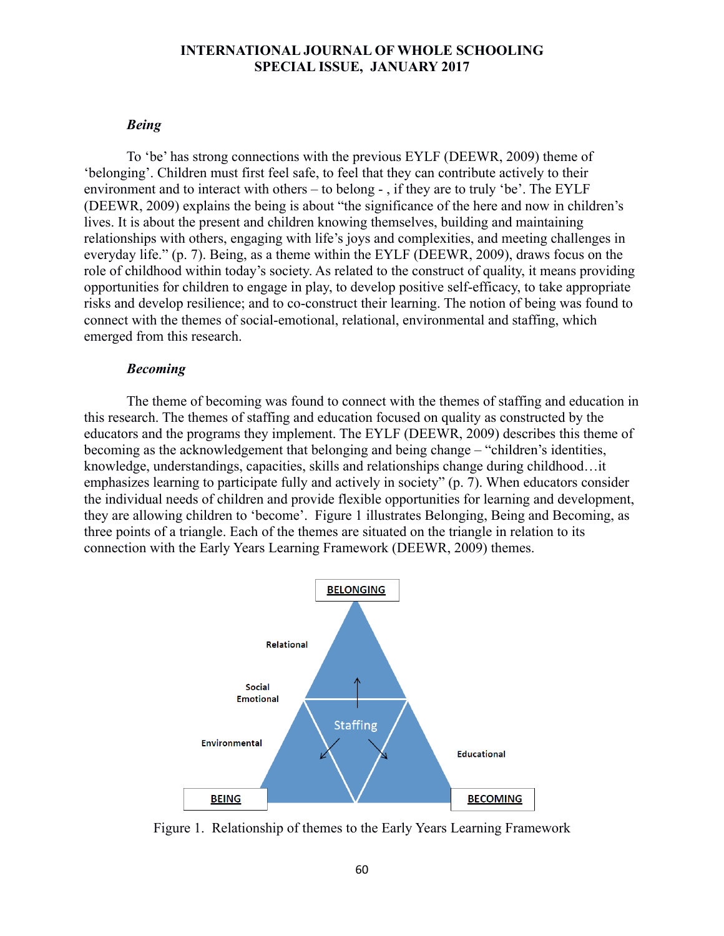#### *Being*

To 'be' has strong connections with the previous EYLF (DEEWR, 2009) theme of 'belonging'. Children must first feel safe, to feel that they can contribute actively to their environment and to interact with others – to belong - , if they are to truly 'be'. The EYLF (DEEWR, 2009) explains the being is about "the significance of the here and now in children's lives. It is about the present and children knowing themselves, building and maintaining relationships with others, engaging with life's joys and complexities, and meeting challenges in everyday life." (p. 7). Being, as a theme within the EYLF (DEEWR, 2009), draws focus on the role of childhood within today's society. As related to the construct of quality, it means providing opportunities for children to engage in play, to develop positive self-efficacy, to take appropriate risks and develop resilience; and to co-construct their learning. The notion of being was found to connect with the themes of social-emotional, relational, environmental and staffing, which emerged from this research.

#### *Becoming*

The theme of becoming was found to connect with the themes of staffing and education in this research. The themes of staffing and education focused on quality as constructed by the educators and the programs they implement. The EYLF (DEEWR, 2009) describes this theme of becoming as the acknowledgement that belonging and being change – "children's identities, knowledge, understandings, capacities, skills and relationships change during childhood…it emphasizes learning to participate fully and actively in society" (p. 7). When educators consider the individual needs of children and provide flexible opportunities for learning and development, they are allowing children to 'become'. Figure 1 illustrates Belonging, Being and Becoming, as three points of a triangle. Each of the themes are situated on the triangle in relation to its connection with the Early Years Learning Framework (DEEWR, 2009) themes.



Figure 1. Relationship of themes to the Early Years Learning Framework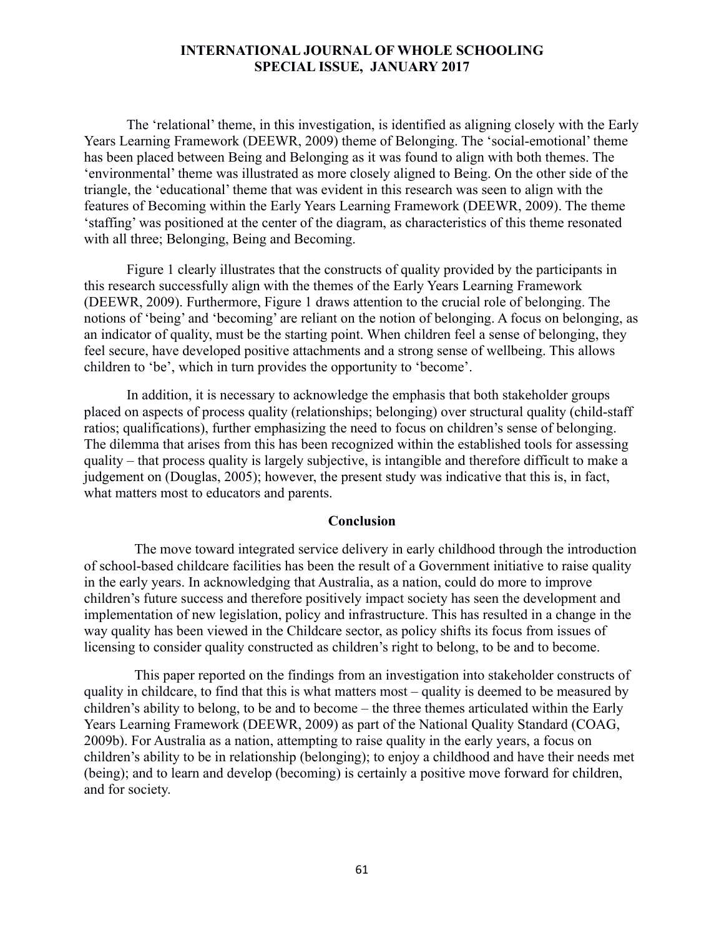The 'relational' theme, in this investigation, is identified as aligning closely with the Early Years Learning Framework (DEEWR, 2009) theme of Belonging. The 'social-emotional' theme has been placed between Being and Belonging as it was found to align with both themes. The 'environmental' theme was illustrated as more closely aligned to Being. On the other side of the triangle, the 'educational' theme that was evident in this research was seen to align with the features of Becoming within the Early Years Learning Framework (DEEWR, 2009). The theme 'staffing' was positioned at the center of the diagram, as characteristics of this theme resonated with all three; Belonging, Being and Becoming.

Figure 1 clearly illustrates that the constructs of quality provided by the participants in this research successfully align with the themes of the Early Years Learning Framework (DEEWR, 2009). Furthermore, Figure 1 draws attention to the crucial role of belonging. The notions of 'being' and 'becoming' are reliant on the notion of belonging. A focus on belonging, as an indicator of quality, must be the starting point. When children feel a sense of belonging, they feel secure, have developed positive attachments and a strong sense of wellbeing. This allows children to 'be', which in turn provides the opportunity to 'become'.

In addition, it is necessary to acknowledge the emphasis that both stakeholder groups placed on aspects of process quality (relationships; belonging) over structural quality (child-staff ratios; qualifications), further emphasizing the need to focus on children's sense of belonging. The dilemma that arises from this has been recognized within the established tools for assessing quality – that process quality is largely subjective, is intangible and therefore difficult to make a judgement on (Douglas, 2005); however, the present study was indicative that this is, in fact, what matters most to educators and parents.

#### **Conclusion**

The move toward integrated service delivery in early childhood through the introduction of school-based childcare facilities has been the result of a Government initiative to raise quality in the early years. In acknowledging that Australia, as a nation, could do more to improve children's future success and therefore positively impact society has seen the development and implementation of new legislation, policy and infrastructure. This has resulted in a change in the way quality has been viewed in the Childcare sector, as policy shifts its focus from issues of licensing to consider quality constructed as children's right to belong, to be and to become.

This paper reported on the findings from an investigation into stakeholder constructs of quality in childcare, to find that this is what matters most – quality is deemed to be measured by children's ability to belong, to be and to become – the three themes articulated within the Early Years Learning Framework (DEEWR, 2009) as part of the National Quality Standard (COAG, 2009b). For Australia as a nation, attempting to raise quality in the early years, a focus on children's ability to be in relationship (belonging); to enjoy a childhood and have their needs met (being); and to learn and develop (becoming) is certainly a positive move forward for children, and for society.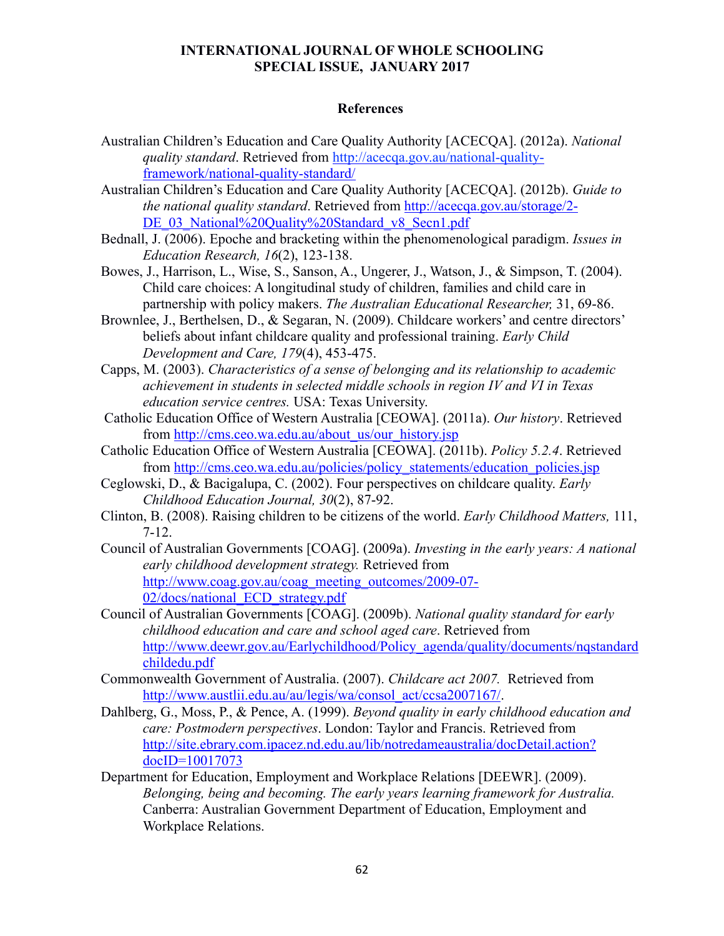## **References**

- Australian Children's Education and Care Quality Authority [ACECQA]. (2012a). *National quality standard*. Retrieved from http://acecqa.gov.au/national-qualityframework/national-quality-standard/
- Australian Children's Education and Care Quality Authority [ACECQA]. (2012b). *Guide to the national quality standard*. Retrieved from http://acecqa.gov.au/storage/2- DE\_03\_National%20Quality%20Standard\_v8\_Secn1.pdf
- Bednall, J. (2006). Epoche and bracketing within the phenomenological paradigm. *Issues in Education Research, 16*(2), 123-138.
- Bowes, J., Harrison, L., Wise, S., Sanson, A., Ungerer, J., Watson, J., & Simpson, T. (2004). Child care choices: A longitudinal study of children, families and child care in partnership with policy makers. *The Australian Educational Researcher,* 31, 69-86.
- Brownlee, J., Berthelsen, D., & Segaran, N. (2009). Childcare workers' and centre directors' beliefs about infant childcare quality and professional training. *Early Child Development and Care, 179*(4), 453-475.
- Capps, M. (2003). *Characteristics of a sense of belonging and its relationship to academic achievement in students in selected middle schools in region IV and VI in Texas education service centres.* USA: Texas University.
- Catholic Education Office of Western Australia [CEOWA]. (2011a). *Our history*. Retrieved from http://cms.ceo.wa.edu.au/about\_us/our\_history.jsp
- Catholic Education Office of Western Australia [CEOWA]. (2011b). *Policy 5.2.4*. Retrieved from http://cms.ceo.wa.edu.au/policies/policy\_statements/education\_policies.jsp
- Ceglowski, D., & Bacigalupa, C. (2002). Four perspectives on childcare quality. *Early Childhood Education Journal, 30*(2), 87-92.
- Clinton, B. (2008). Raising children to be citizens of the world. *Early Childhood Matters,* 111, 7-12.
- Council of Australian Governments [COAG]. (2009a). *Investing in the early years: A national early childhood development strategy.* Retrieved from http://www.coag.gov.au/coag\_meeting\_outcomes/2009-07-02/docs/national\_ECD\_strategy.pdf
- Council of Australian Governments [COAG]. (2009b). *National quality standard for early childhood education and care and school aged care*. Retrieved from http://www.deewr.gov.au/Earlychildhood/Policy\_agenda/quality/documents/nqstandard childedu.pdf
- Commonwealth Government of Australia. (2007). *Childcare act 2007.* Retrieved from http://www.austlii.edu.au/au/legis/wa/consol\_act/ccsa2007167/.
- Dahlberg, G., Moss, P., & Pence, A. (1999). *Beyond quality in early childhood education and care: Postmodern perspectives*. London: Taylor and Francis. Retrieved from http://site.ebrary.com.ipacez.nd.edu.au/lib/notredameaustralia/docDetail.action? docID=10017073
- Department for Education, Employment and Workplace Relations [DEEWR]. (2009). *Belonging, being and becoming. The early years learning framework for Australia.*  Canberra: Australian Government Department of Education, Employment and Workplace Relations.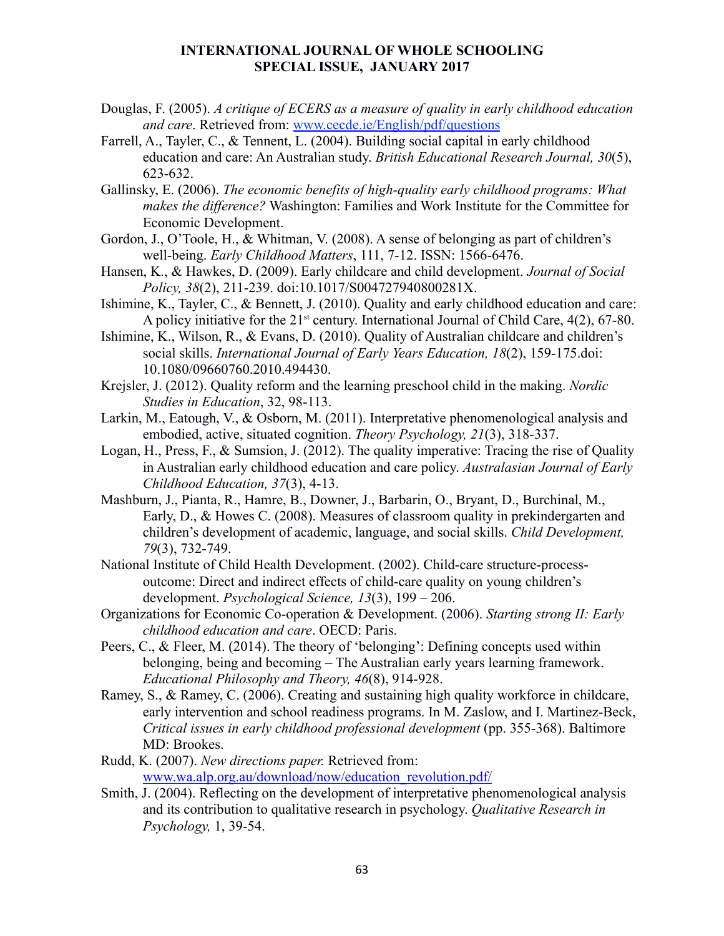- Douglas, F. (2005). *A critique of ECERS as a measure of quality in early childhood education and care*. Retrieved from: www.cecde.ie/English/pdf/questions
- Farrell, A., Tayler, C., & Tennent, L. (2004). Building social capital in early childhood education and care: An Australian study. *British Educational Research Journal, 30*(5), 623-632.
- Gallinsky, E. (2006). *The economic benefits of high-quality early childhood programs: What makes the difference?* Washington: Families and Work Institute for the Committee for Economic Development.
- Gordon, J., O'Toole, H., & Whitman, V. (2008). A sense of belonging as part of children's well-being. *Early Childhood Matters*, 111, 7-12. ISSN: 1566-6476.
- Hansen, K., & Hawkes, D. (2009). Early childcare and child development. *Journal of Social Policy, 38*(2), 211-239. doi:10.1017/S004727940800281X.
- Ishimine, K., Tayler, C., & Bennett, J. (2010). Quality and early childhood education and care: A policy initiative for the  $21<sup>st</sup>$  century. International Journal of Child Care,  $4(2)$ ,  $67-80$ .
- Ishimine, K., Wilson, R., & Evans, D. (2010). Quality of Australian childcare and children's social skills. *International Journal of Early Years Education, 18*(2), 159-175.doi: 10.1080/09660760.2010.494430.
- Krejsler, J. (2012). Quality reform and the learning preschool child in the making. *Nordic Studies in Education*, 32, 98-113.
- Larkin, M., Eatough, V., & Osborn, M. (2011). Interpretative phenomenological analysis and embodied, active, situated cognition. *Theory Psychology, 21*(3), 318-337.
- Logan, H., Press, F., & Sumsion, J. (2012). The quality imperative: Tracing the rise of Quality in Australian early childhood education and care policy. *Australasian Journal of Early Childhood Education, 37*(3), 4-13.
- Mashburn, J., Pianta, R., Hamre, B., Downer, J., Barbarin, O., Bryant, D., Burchinal, M., Early, D., & Howes C. (2008). Measures of classroom quality in prekindergarten and children's development of academic, language, and social skills. *Child Development, 79*(3), 732-749.
- National Institute of Child Health Development. (2002). Child-care structure-processoutcome: Direct and indirect effects of child-care quality on young children's development. *Psychological Science, 13*(3), 199 – 206.
- Organizations for Economic Co-operation & Development. (2006). *Starting strong II: Early childhood education and care*. OECD: Paris.
- Peers, C., & Fleer, M. (2014). The theory of 'belonging': Defining concepts used within belonging, being and becoming – The Australian early years learning framework. *Educational Philosophy and Theory, 46*(8), 914-928.
- Ramey, S., & Ramey, C. (2006). Creating and sustaining high quality workforce in childcare, early intervention and school readiness programs. In M. Zaslow, and I. Martinez-Beck, *Critical issues in early childhood professional development* (pp. 355-368). Baltimore MD: Brookes.
- Rudd, K. (2007). *New directions paper.* Retrieved from: www.wa.alp.org.au/download/now/education\_revolution.pdf/
- Smith, J. (2004). Reflecting on the development of interpretative phenomenological analysis and its contribution to qualitative research in psychology. *Qualitative Research in Psychology,* 1, 39-54.